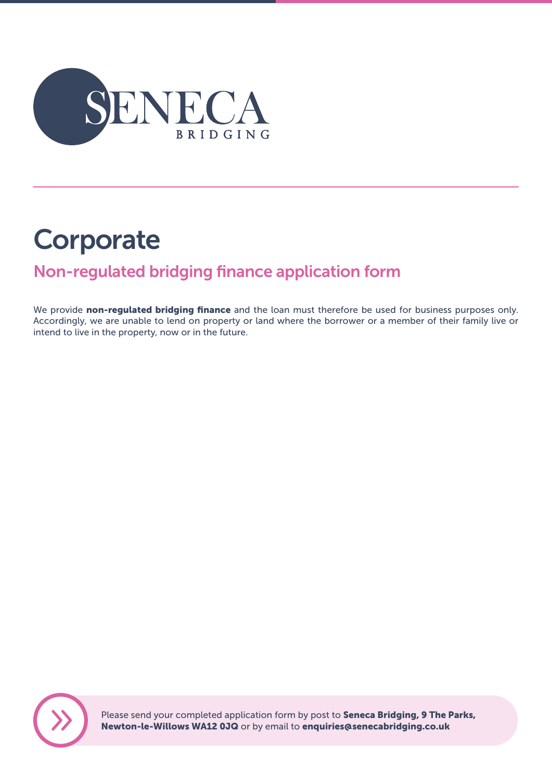

# **Corporate**

## Non-regulated bridging finance application form

We provide non-regulated bridging finance and the loan must therefore be used for business purposes only. Accordingly, we are unable to lend on property or land where the borrower or a member of their family live or intend to live in the property, now or in the future.



Please send your completed application form by post to Seneca Bridging, 9 The Parks, Newton-le-Willows WA12 0JQ or by email to enquiries@senecabridging.co.uk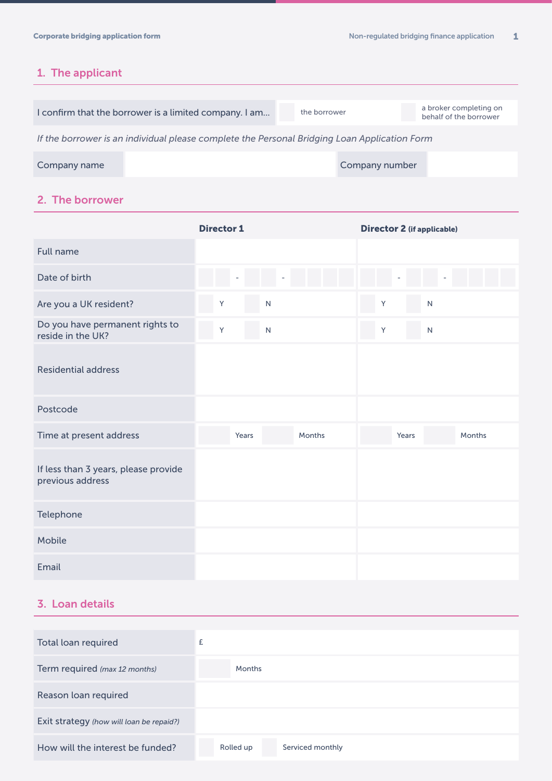## 1. The applicant

|                                                                                              | I confirm that the borrower is a limited company. I am | the borrower |                | a broker completing on<br>behalf of the borrower |  |  |
|----------------------------------------------------------------------------------------------|--------------------------------------------------------|--------------|----------------|--------------------------------------------------|--|--|
| If the borrower is an individual please complete the Personal Bridging Loan Application Form |                                                        |              |                |                                                  |  |  |
| Company name                                                                                 |                                                        |              | Company number |                                                  |  |  |

2. The borrower

|                                                          | <b>Director 1</b> | <b>Director 2 (if applicable)</b> |
|----------------------------------------------------------|-------------------|-----------------------------------|
| <b>Full name</b>                                         |                   |                                   |
| Date of birth                                            |                   |                                   |
| Are you a UK resident?                                   | Y<br>${\sf N}$    | Y<br>$\mathsf{N}$                 |
| Do you have permanent rights to<br>reside in the UK?     | Υ<br>${\sf N}$    | Y<br>${\sf N}$                    |
| <b>Residential address</b>                               |                   |                                   |
| Postcode                                                 |                   |                                   |
| Time at present address                                  | Months<br>Years   | Years<br><b>Months</b>            |
| If less than 3 years, please provide<br>previous address |                   |                                   |
| Telephone                                                |                   |                                   |
| Mobile                                                   |                   |                                   |
| Email                                                    |                   |                                   |

## 3. Loan details

| Total loan required                      | £                             |
|------------------------------------------|-------------------------------|
| Term required (max 12 months)            | Months                        |
| Reason loan required                     |                               |
| Exit strategy (how will loan be repaid?) |                               |
| How will the interest be funded?         | Rolled up<br>Serviced monthly |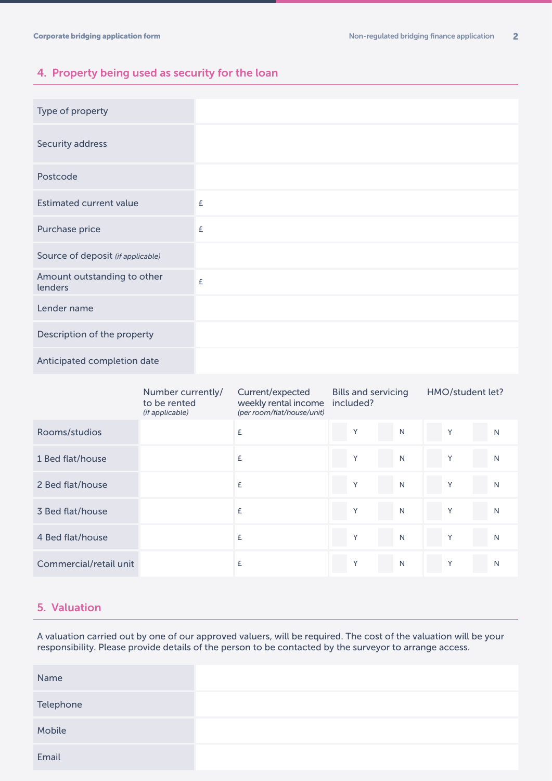## 4. Property being used as security for the loan

| Type of property                       |   |
|----------------------------------------|---|
| Security address                       |   |
| Postcode                               |   |
| <b>Estimated current value</b>         | £ |
| Purchase price                         | £ |
| Source of deposit (if applicable)      |   |
| Amount outstanding to other<br>lenders | £ |
| Lender name                            |   |
| Description of the property            |   |
| Anticipated completion date            |   |

|                        | Number currently/<br>to be rented<br>(if applicable) | Current/expected<br>weekly rental income<br>(per room/flat/house/unit) | <b>Bills and servicing</b><br>included? |              |   | HMO/student let? |
|------------------------|------------------------------------------------------|------------------------------------------------------------------------|-----------------------------------------|--------------|---|------------------|
| Rooms/studios          |                                                      | £                                                                      | Y                                       | N            | Y | N                |
| 1 Bed flat/house       |                                                      | £                                                                      | Y                                       | N            | Y | N                |
| 2 Bed flat/house       |                                                      | £                                                                      | Y                                       | N            | Y | N                |
| 3 Bed flat/house       |                                                      | £                                                                      | Y                                       | N            | Y | N                |
| 4 Bed flat/house       |                                                      | £                                                                      | Y                                       | N            | Y | N                |
| Commercial/retail unit |                                                      | £                                                                      | Y                                       | $\mathsf{N}$ | Y | N                |

### 5. Valuation

A valuation carried out by one of our approved valuers, will be required. The cost of the valuation will be your responsibility. Please provide details of the person to be contacted by the surveyor to arrange access.

| Name      |  |
|-----------|--|
| Telephone |  |
| Mobile    |  |
| Email     |  |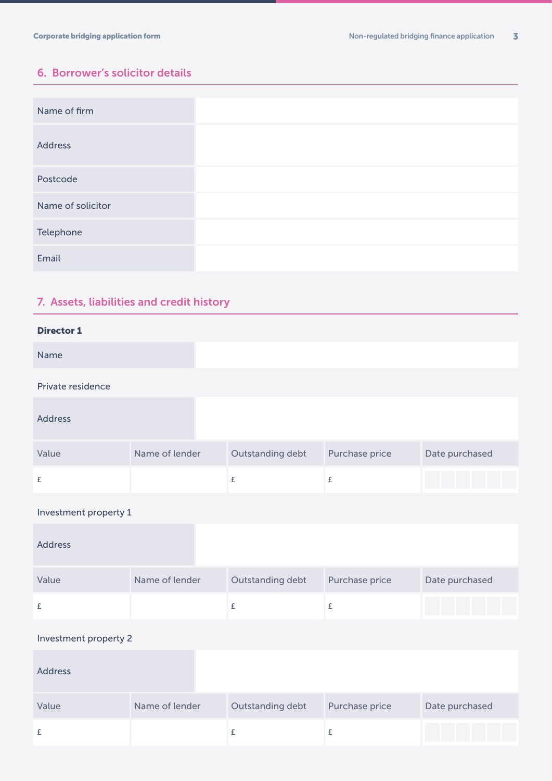## 6. Borrower's solicitor details

| Name of firm      |  |
|-------------------|--|
| <b>Address</b>    |  |
| Postcode          |  |
| Name of solicitor |  |
| Telephone         |  |
| Email             |  |

## 7. Assets, liabilities and credit history

| <b>Director 1</b> |                |                  |                |                |
|-------------------|----------------|------------------|----------------|----------------|
| Name              |                |                  |                |                |
| Private residence |                |                  |                |                |
| <b>Address</b>    |                |                  |                |                |
| Value             | Name of lender | Outstanding debt | Purchase price | Date purchased |
| £                 |                | £                | £              |                |

#### Investment property 1

| <b>Address</b> |                |                  |                |                |
|----------------|----------------|------------------|----------------|----------------|
| Value          | Name of lender | Outstanding debt | Purchase price | Date purchased |
| £              |                |                  |                |                |

#### Investment property 2

| <b>Address</b> |                |                  |                |                |
|----------------|----------------|------------------|----------------|----------------|
| Value          | Name of lender | Outstanding debt | Purchase price | Date purchased |
|                |                |                  |                |                |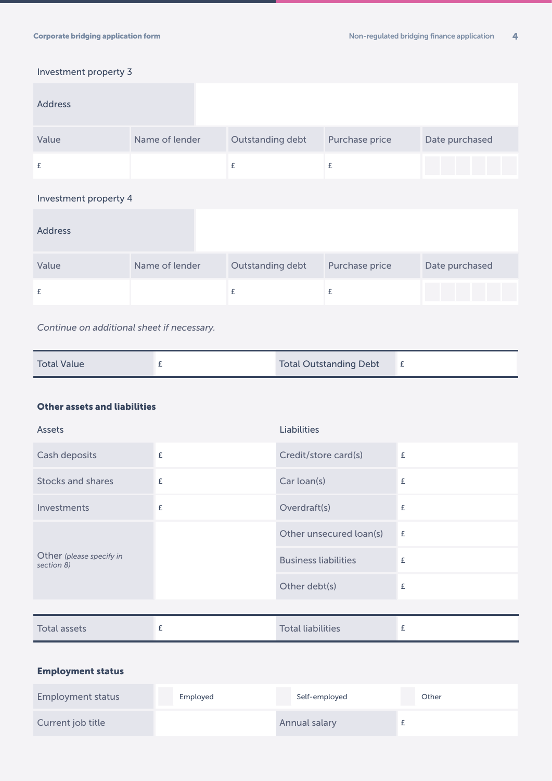### Investment property 3

| <b>Address</b>        |                |                  |                |                |
|-----------------------|----------------|------------------|----------------|----------------|
| Value                 | Name of lender | Outstanding debt | Purchase price | Date purchased |
| £                     |                | £                | £              |                |
| Investment property 4 |                |                  |                |                |
| <b>Address</b>        |                |                  |                |                |
| Value                 | Name of lender | Outstanding debt | Purchase price | Date purchased |
| £                     |                | £                | £              |                |

*Continue on additional sheet if necessary.*

| <b>Total Value</b> |  | <b>Total Outstanding Debt</b> |  |
|--------------------|--|-------------------------------|--|
|--------------------|--|-------------------------------|--|

#### Other assets and liabilities

| Assets                                 |   | <b>Liabilities</b>          |   |
|----------------------------------------|---|-----------------------------|---|
| Cash deposits                          | £ | Credit/store card(s)        | £ |
| <b>Stocks and shares</b>               | £ | Car loan(s)                 | £ |
| Investments                            | £ | Overdraft(s)                | £ |
| Other (please specify in<br>section 8) |   | Other unsecured loan(s)     | £ |
|                                        |   | <b>Business liabilities</b> | £ |
|                                        |   | Other debt(s)               | £ |
|                                        |   |                             |   |
| <b>Total assets</b>                    | £ | <b>Total liabilities</b>    | £ |

### Employment status

| Employment status | Employed | Self-employed | Other |
|-------------------|----------|---------------|-------|
| Current job title |          | Annual salary |       |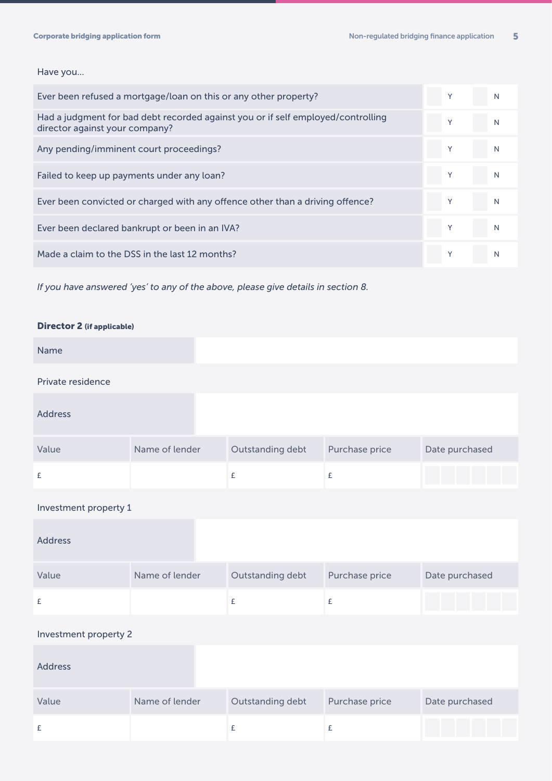#### Have you...

| Ever been refused a mortgage/loan on this or any other property?                                                   | v            | N |
|--------------------------------------------------------------------------------------------------------------------|--------------|---|
| Had a judgment for bad debt recorded against you or if self employed/controlling<br>director against your company? | v            | N |
| Any pending/imminent court proceedings?                                                                            |              | N |
| Failed to keep up payments under any loan?                                                                         |              | N |
| Ever been convicted or charged with any offence other than a driving offence?                                      | Y            | N |
| Ever been declared bankrupt or been in an IVA?                                                                     |              |   |
| Made a claim to the DSS in the last 12 months?                                                                     | $\checkmark$ | N |

*If you have answered 'yes' to any of the above, please give details in section 8.*

#### Director 2 (if applicable)

| Name              |                |                  |                |                |
|-------------------|----------------|------------------|----------------|----------------|
| Private residence |                |                  |                |                |
| <b>Address</b>    |                |                  |                |                |
| Value             | Name of lender | Outstanding debt | Purchase price | Date purchased |
| £                 |                | £                | £              |                |

#### Investment property 1

| <b>Address</b> |                |                  |                |                |
|----------------|----------------|------------------|----------------|----------------|
| Value          | Name of lender | Outstanding debt | Purchase price | Date purchased |
|                |                |                  |                |                |

### Investment property 2

| Address |                |                  |                |                |
|---------|----------------|------------------|----------------|----------------|
| Value   | Name of lender | Outstanding debt | Purchase price | Date purchased |
|         |                |                  |                |                |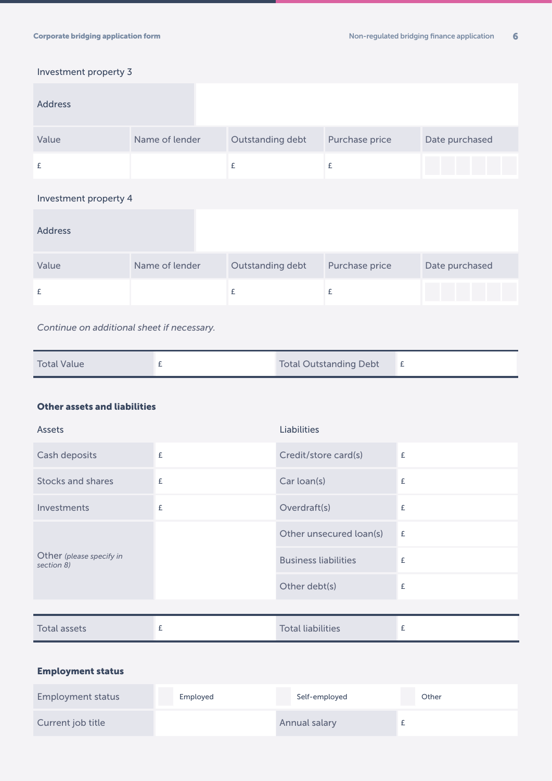### Investment property 3

| <b>Address</b>        |                |                  |                |                |  |
|-----------------------|----------------|------------------|----------------|----------------|--|
| Value                 | Name of lender | Outstanding debt | Purchase price | Date purchased |  |
| £                     |                | £                | £              |                |  |
| Investment property 4 |                |                  |                |                |  |
| <b>Address</b>        |                |                  |                |                |  |
| Value                 | Name of lender | Outstanding debt | Purchase price | Date purchased |  |
| £                     |                | £                | £              |                |  |

*Continue on additional sheet if necessary.*

| <b>Total Value</b> |  | <b>Total Outstanding Debt</b> |  |
|--------------------|--|-------------------------------|--|
|--------------------|--|-------------------------------|--|

#### Other assets and liabilities

| Assets                                 |   | <b>Liabilities</b>          |   |
|----------------------------------------|---|-----------------------------|---|
| Cash deposits                          | £ | Credit/store card(s)        | £ |
| <b>Stocks and shares</b>               | £ | Car loan(s)                 | £ |
| Investments                            | £ | Overdraft(s)                | £ |
| Other (please specify in<br>section 8) |   | Other unsecured loan(s)     | £ |
|                                        |   | <b>Business liabilities</b> | £ |
|                                        |   | Other debt(s)               | £ |
|                                        |   |                             |   |
| <b>Total assets</b>                    | £ | <b>Total liabilities</b>    | £ |

### Employment status

| Employment status | Employed | Self-employed | Other |
|-------------------|----------|---------------|-------|
| Current job title |          | Annual salary |       |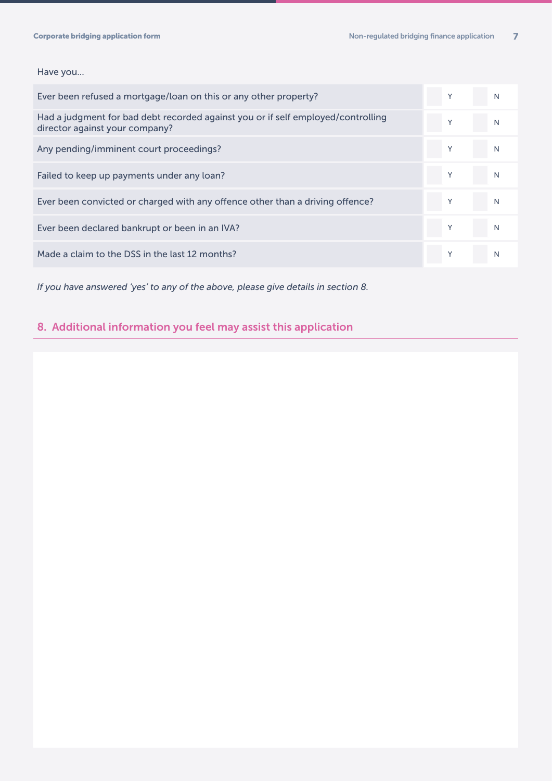#### Have you...

| Ever been refused a mortgage/loan on this or any other property?                                                   | Υ | N |
|--------------------------------------------------------------------------------------------------------------------|---|---|
| Had a judgment for bad debt recorded against you or if self employed/controlling<br>director against your company? | Υ | N |
| Any pending/imminent court proceedings?                                                                            |   | N |
| Failed to keep up payments under any loan?                                                                         |   | N |
| Ever been convicted or charged with any offence other than a driving offence?                                      |   | N |
| Ever been declared bankrupt or been in an IVA?                                                                     |   |   |
| Made a claim to the DSS in the last 12 months?                                                                     |   | N |

*If you have answered 'yes' to any of the above, please give details in section 8.*

## 8. Additional information you feel may assist this application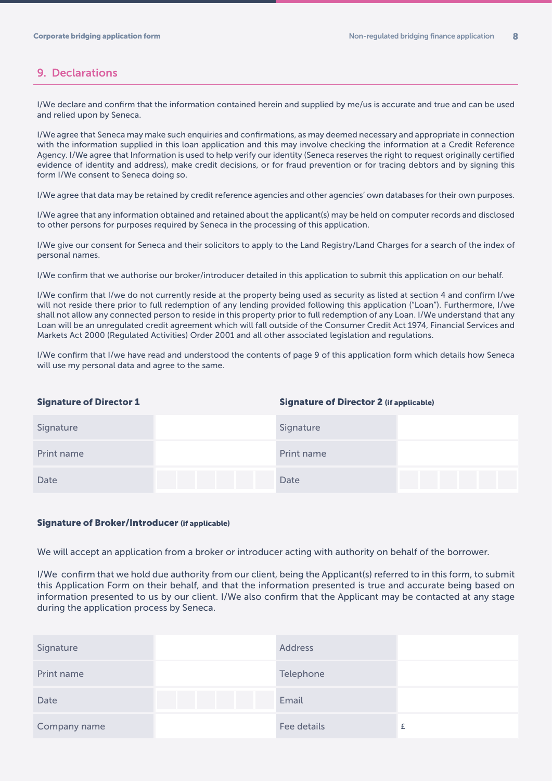#### 9. Declarations

I/We declare and confirm that the information contained herein and supplied by me/us is accurate and true and can be used and relied upon by Seneca.

I/We agree that Seneca may make such enquiries and confirmations, as may deemed necessary and appropriate in connection with the information supplied in this loan application and this may involve checking the information at a Credit Reference Agency. I/We agree that Information is used to help verify our identity (Seneca reserves the right to request originally certified evidence of identity and address), make credit decisions, or for fraud prevention or for tracing debtors and by signing this form I/We consent to Seneca doing so.

I/We agree that data may be retained by credit reference agencies and other agencies' own databases for their own purposes.

I/We agree that any information obtained and retained about the applicant(s) may be held on computer records and disclosed to other persons for purposes required by Seneca in the processing of this application.

I/We give our consent for Seneca and their solicitors to apply to the Land Registry/Land Charges for a search of the index of personal names.

I/We confirm that we authorise our broker/introducer detailed in this application to submit this application on our behalf.

I/We confirm that I/we do not currently reside at the property being used as security as listed at section 4 and confirm I/we will not reside there prior to full redemption of any lending provided following this application ("Loan"). Furthermore, I/we shall not allow any connected person to reside in this property prior to full redemption of any Loan. I/We understand that any Loan will be an unregulated credit agreement which will fall outside of the Consumer Credit Act 1974, Financial Services and Markets Act 2000 (Regulated Activities) Order 2001 and all other associated legislation and regulations.

I/We confirm that I/we have read and understood the contents of page 9 of this application form which details how Seneca will use my personal data and agree to the same.

#### Signature of Director 1 Signature of Director 2 (if applicable)

| Signature  | Signature  |  |
|------------|------------|--|
| Print name | Print name |  |
| Date       | Date       |  |

#### Signature of Broker/Introducer (if applicable)

We will accept an application from a broker or introducer acting with authority on behalf of the borrower.

I/We confirm that we hold due authority from our client, being the Applicant(s) referred to in this form, to submit this Application Form on their behalf, and that the information presented is true and accurate being based on information presented to us by our client. I/We also confirm that the Applicant may be contacted at any stage during the application process by Seneca.

| Signature    | <b>Address</b> |  |
|--------------|----------------|--|
| Print name   | Telephone      |  |
| Date         | Email          |  |
| Company name | Fee details    |  |